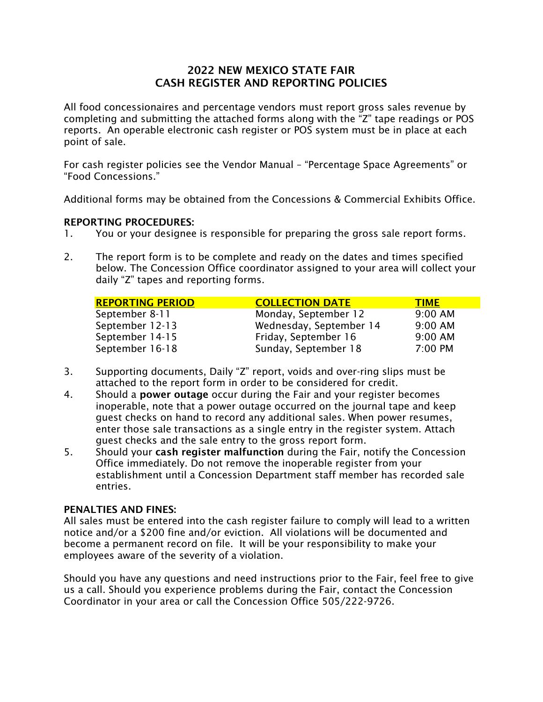### 2022 NEW MEXICO STATE FAIR CASH REGISTER AND REPORTING POLICIES

All food concessionaires and percentage vendors must report gross sales revenue by completing and submitting the attached forms along with the "Z" tape readings or POS reports. An operable electronic cash register or POS system must be in place at each point of sale.

For cash register policies see the Vendor Manual – "Percentage Space Agreements" or "Food Concessions."

Additional forms may be obtained from the Concessions & Commercial Exhibits Office.

#### REPORTING PROCEDURES:

- 1. You or your designee is responsible for preparing the gross sale report forms.
- 2. The report form is to be complete and ready on the dates and times specified below. The Concession Office coordinator assigned to your area will collect your daily "Z" tapes and reporting forms.

| <b>REPORTING PERIOD</b> | <b>COLLECTION DATE</b>  | <b>TIME</b> |
|-------------------------|-------------------------|-------------|
| September 8-11          | Monday, September 12    | $9:00$ AM   |
| September 12-13         | Wednesday, September 14 | $9:00$ AM   |
| September 14-15         | Friday, September 16    | $9:00$ AM   |
| September 16-18         | Sunday, September 18    | 7:00 PM     |

- 3. Supporting documents, Daily "Z" report, voids and over-ring slips must be attached to the report form in order to be considered for credit.
- 4. Should a **power outage** occur during the Fair and your register becomes inoperable, note that a power outage occurred on the journal tape and keep guest checks on hand to record any additional sales. When power resumes, enter those sale transactions as a single entry in the register system. Attach guest checks and the sale entry to the gross report form.
- 5. Should your cash register malfunction during the Fair, notify the Concession Office immediately. Do not remove the inoperable register from your establishment until a Concession Department staff member has recorded sale entries.

#### PENALTIES AND FINES:

All sales must be entered into the cash register failure to comply will lead to a written notice and/or a \$200 fine and/or eviction. All violations will be documented and become a permanent record on file. It will be your responsibility to make your employees aware of the severity of a violation.

Should you have any questions and need instructions prior to the Fair, feel free to give us a call. Should you experience problems during the Fair, contact the Concession Coordinator in your area or call the Concession Office 505/222-9726.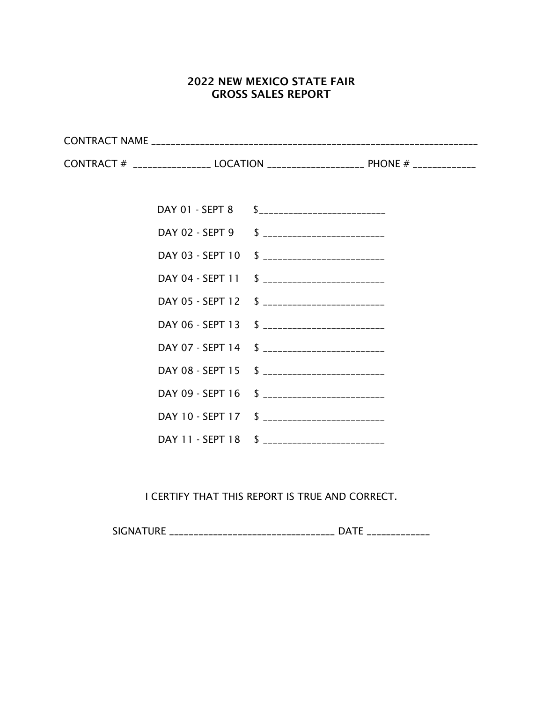## 2022 NEW MEXICO STATE FAIR GROSS SALES REPORT

|  | CONTRACT # ________________ LOCATION _____________________ PHONE # _____________ |
|--|----------------------------------------------------------------------------------|
|  |                                                                                  |
|  | DAY 01 - SEPT 8 \$___________________________                                    |
|  | DAY 02 - SEPT 9 \$ __________________________                                    |
|  | DAY 03 - SEPT 10 \$ __________________________                                   |
|  | DAY 04 - SEPT 11 \$ __________________________                                   |
|  | DAY 05 - SEPT 12 \$ __________________________                                   |
|  | DAY 06 - SEPT 13 \$ __________________________                                   |
|  | DAY 07 - SEPT 14 \$ _________________________                                    |
|  | DAY 08 - SEPT 15 \$ __________________________                                   |
|  | DAY 09 - SEPT 16 \$ __________________________                                   |
|  | DAY 10 - SEPT 17 \$ __________________________                                   |
|  | DAY 11 - SEPT 18 \$ __________________________                                   |

I CERTIFY THAT THIS REPORT IS TRUE AND CORRECT.

SIGNATURE \_\_\_\_\_\_\_\_\_\_\_\_\_\_\_\_\_\_\_\_\_\_\_\_\_\_\_\_\_\_\_\_\_\_ DATE \_\_\_\_\_\_\_\_\_\_\_\_\_